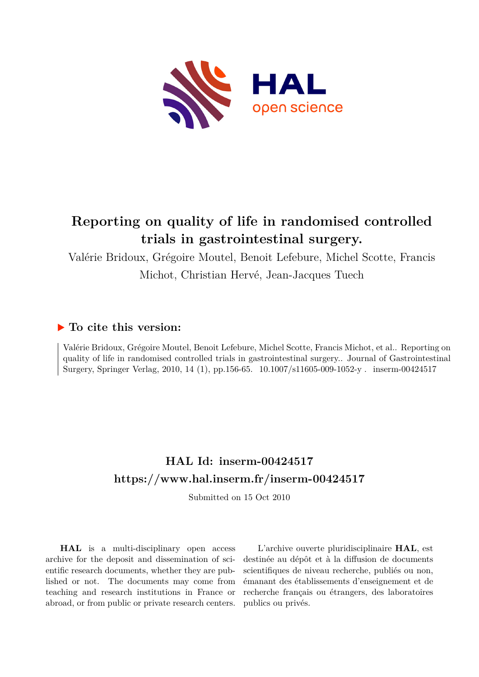

# **Reporting on quality of life in randomised controlled trials in gastrointestinal surgery.**

Valérie Bridoux, Grégoire Moutel, Benoit Lefebure, Michel Scotte, Francis

Michot, Christian Hervé, Jean-Jacques Tuech

# **To cite this version:**

Valérie Bridoux, Grégoire Moutel, Benoit Lefebure, Michel Scotte, Francis Michot, et al.. Reporting on quality of life in randomised controlled trials in gastrointestinal surgery.. Journal of Gastrointestinal Surgery, Springer Verlag, 2010, 14 (1), pp.156-65. 10.1007/s11605-009-1052-y . inserm-00424517

# **HAL Id: inserm-00424517 <https://www.hal.inserm.fr/inserm-00424517>**

Submitted on 15 Oct 2010

**HAL** is a multi-disciplinary open access archive for the deposit and dissemination of scientific research documents, whether they are published or not. The documents may come from teaching and research institutions in France or abroad, or from public or private research centers.

L'archive ouverte pluridisciplinaire **HAL**, est destinée au dépôt et à la diffusion de documents scientifiques de niveau recherche, publiés ou non, émanant des établissements d'enseignement et de recherche français ou étrangers, des laboratoires publics ou privés.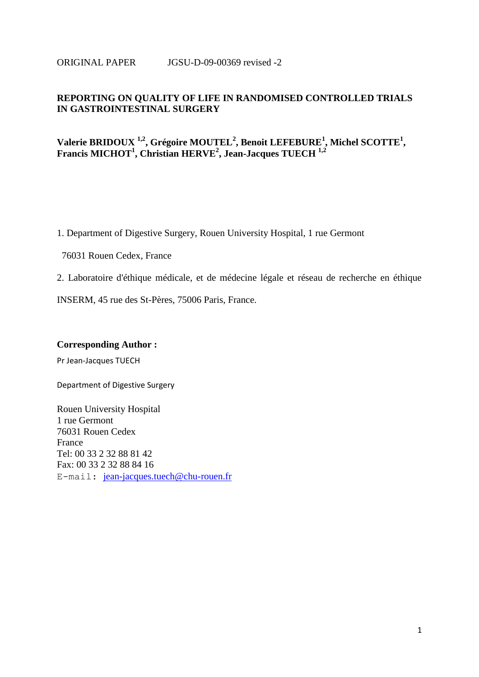#### ORIGINAL PAPER JGSU-D-09-00369 revised -2

### **REPORTING ON QUALITY OF LIFE IN RANDOMISED CONTROLLED TRIALS IN GASTROINTESTINAL SURGERY**

# **Valerie BRIDOUX 1,2, Grégoire MOUTEL<sup>2</sup> , Benoit LEFEBURE<sup>1</sup> , Michel SCOTTE<sup>1</sup> , Francis MICHOT<sup>1</sup> , Christian HERVE<sup>2</sup> , Jean-Jacques TUECH 1,2**

1. Department of Digestive Surgery, Rouen University Hospital, 1 rue Germont

76031 Rouen Cedex, France

2. Laboratoire d'éthique médicale, et de médecine légale et réseau de recherche en éthique

INSERM, 45 rue des St-Pères, 75006 Paris, France.

#### **Corresponding Author :**

Pr Jean-Jacques TUECH

Department of Digestive Surgery

Rouen University Hospital 1 rue Germont 76031 Rouen Cedex France Tel: 00 33 2 32 88 81 42 Fax: 00 33 2 32 88 84 16 E-mail: [jean-jacques.tuech@chu-rouen.fr](mailto:jean-jacques.tuech@chu-rouen.fr)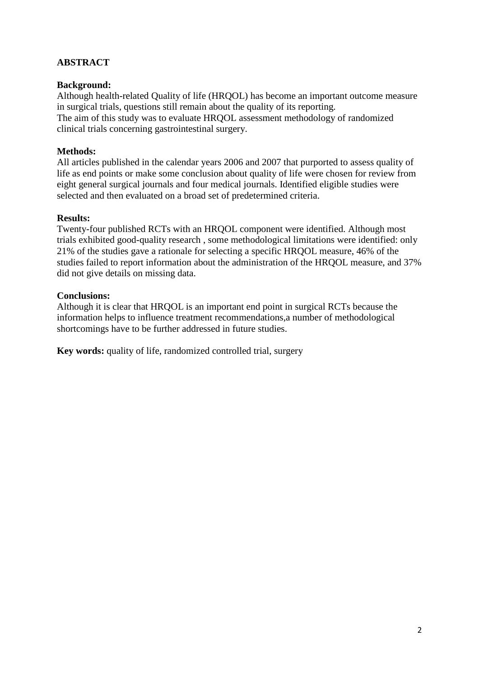# **ABSTRACT**

# **Background:**

Although health-related Quality of life (HRQOL) has become an important outcome measure in surgical trials, questions still remain about the quality of its reporting.

The aim of this study was to evaluate HRQOL assessment methodology of randomized clinical trials concerning gastrointestinal surgery.

# **Methods:**

All articles published in the calendar years 2006 and 2007 that purported to assess quality of life as end points or make some conclusion about quality of life were chosen for review from eight general surgical journals and four medical journals. Identified eligible studies were selected and then evaluated on a broad set of predetermined criteria.

## **Results:**

Twenty-four published RCTs with an HRQOL component were identified. Although most trials exhibited good-quality research , some methodological limitations were identified: only 21% of the studies gave a rationale for selecting a specific HRQOL measure, 46% of the studies failed to report information about the administration of the HRQOL measure, and 37% did not give details on missing data.

# **Conclusions:**

Although it is clear that HRQOL is an important end point in surgical RCTs because the information helps to influence treatment recommendations,a number of methodological shortcomings have to be further addressed in future studies.

**Key words:** quality of life, randomized controlled trial, surgery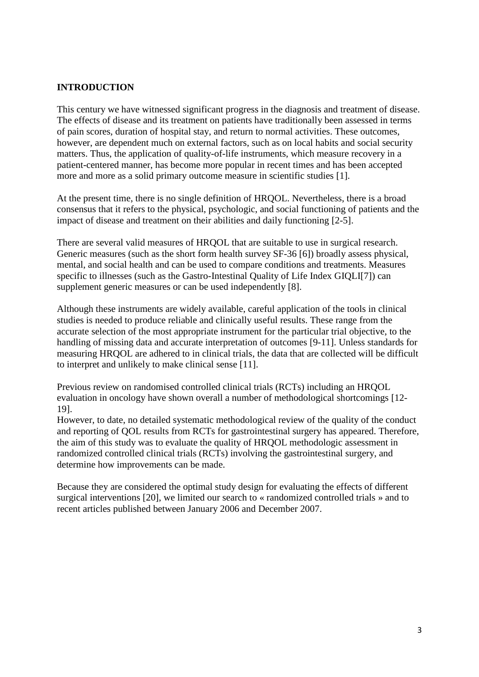#### **INTRODUCTION**

This century we have witnessed significant progress in the diagnosis and treatment of disease. The effects of disease and its treatment on patients have traditionally been assessed in terms of pain scores, duration of hospital stay, and return to normal activities. These outcomes, however, are dependent much on external factors, such as on local habits and social security matters. Thus, the application of quality-of-life instruments, which measure recovery in a patient-centered manner, has become more popular in recent times and has been accepted more and more as a solid primary outcome measure in scientific studies [1].

At the present time, there is no single definition of HRQOL. Nevertheless, there is a broad consensus that it refers to the physical, psychologic, and social functioning of patients and the impact of disease and treatment on their abilities and daily functioning [2-5].

There are several valid measures of HRQOL that are suitable to use in surgical research. Generic measures (such as the short form health survey SF-36 [6]) broadly assess physical, mental, and social health and can be used to compare conditions and treatments. Measures specific to illnesses (such as the Gastro-Intestinal Quality of Life Index GIQLI[7]) can supplement generic measures or can be used independently [8].

Although these instruments are widely available, careful application of the tools in clinical studies is needed to produce reliable and clinically useful results. These range from the accurate selection of the most appropriate instrument for the particular trial objective, to the handling of missing data and accurate interpretation of outcomes [9-11]. Unless standards for measuring HRQOL are adhered to in clinical trials, the data that are collected will be difficult to interpret and unlikely to make clinical sense [11].

Previous review on randomised controlled clinical trials (RCTs) including an HRQOL evaluation in oncology have shown overall a number of methodological shortcomings [12- 19].

However, to date, no detailed systematic methodological review of the quality of the conduct and reporting of QOL results from RCTs for gastrointestinal surgery has appeared. Therefore, the aim of this study was to evaluate the quality of HRQOL methodologic assessment in randomized controlled clinical trials (RCTs) involving the gastrointestinal surgery, and determine how improvements can be made.

Because they are considered the optimal study design for evaluating the effects of different surgical interventions [20], we limited our search to « randomized controlled trials » and to recent articles published between January 2006 and December 2007.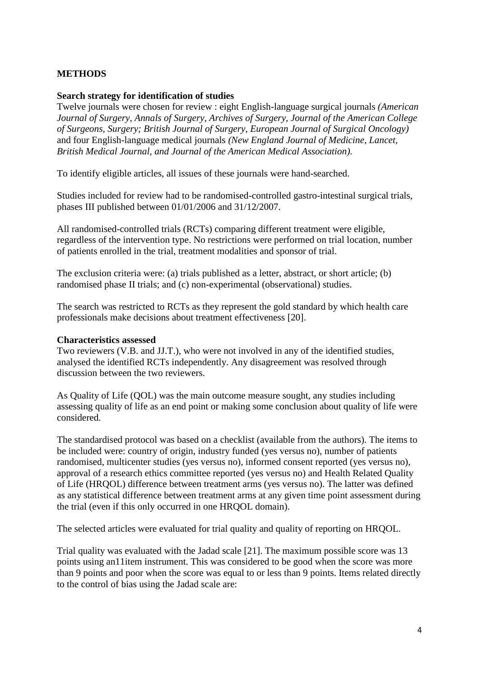# **METHODS**

#### **Search strategy for identification of studies**

Twelve journals were chosen for review : eight English-language surgical journals *(American Journal of Surgery, Annals of Surgery, Archives of Surgery, Journal of the American College of Surgeons, Surgery; British Journal of Surgery, European Journal of Surgical Oncology)*  and four English-language medical journals *(New England Journal of Medicine, Lancet, British Medical Journal, and Journal of the American Medical Association).* 

To identify eligible articles, all issues of these journals were hand-searched.

Studies included for review had to be randomised-controlled gastro-intestinal surgical trials, phases III published between 01/01/2006 and 31/12/2007.

All randomised-controlled trials (RCTs) comparing different treatment were eligible, regardless of the intervention type. No restrictions were performed on trial location, number of patients enrolled in the trial, treatment modalities and sponsor of trial.

The exclusion criteria were: (a) trials published as a letter, abstract, or short article; (b) randomised phase II trials; and (c) non-experimental (observational) studies.

The search was restricted to RCTs as they represent the gold standard by which health care professionals make decisions about treatment effectiveness [20].

#### **Characteristics assessed**

Two reviewers (V.B. and JJ.T.), who were not involved in any of the identified studies, analysed the identified RCTs independently. Any disagreement was resolved through discussion between the two reviewers.

As Quality of Life (QOL) was the main outcome measure sought, any studies including assessing quality of life as an end point or making some conclusion about quality of life were considered*.*

The standardised protocol was based on a checklist (available from the authors). The items to be included were: country of origin, industry funded (yes versus no), number of patients randomised, multicenter studies (yes versus no), informed consent reported (yes versus no), approval of a research ethics committee reported (yes versus no) and Health Related Quality of Life (HRQOL) difference between treatment arms (yes versus no). The latter was defined as any statistical difference between treatment arms at any given time point assessment during the trial (even if this only occurred in one HRQOL domain).

The selected articles were evaluated for trial quality and quality of reporting on HRQOL.

Trial quality was evaluated with the Jadad scale [21]. The maximum possible score was 13 points using an11item instrument. This was considered to be good when the score was more than 9 points and poor when the score was equal to or less than 9 points. Items related directly to the control of bias using the Jadad scale are: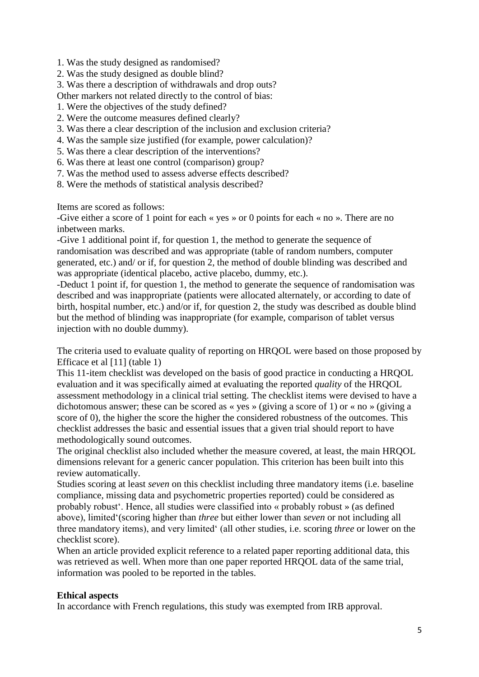- 1. Was the study designed as randomised?
- 2. Was the study designed as double blind?
- 3. Was there a description of withdrawals and drop outs?
- Other markers not related directly to the control of bias:
- 1. Were the objectives of the study defined?
- 2. Were the outcome measures defined clearly?
- 3. Was there a clear description of the inclusion and exclusion criteria?
- 4. Was the sample size justified (for example, power calculation)?
- 5. Was there a clear description of the interventions?
- 6. Was there at least one control (comparison) group?
- 7. Was the method used to assess adverse effects described?
- 8. Were the methods of statistical analysis described?

Items are scored as follows:

-Give either a score of 1 point for each « yes » or 0 points for each « no ». There are no inbetween marks.

-Give 1 additional point if, for question 1, the method to generate the sequence of randomisation was described and was appropriate (table of random numbers, computer generated, etc.) and/ or if, for question 2, the method of double blinding was described and was appropriate (identical placebo, active placebo, dummy, etc.).

-Deduct 1 point if, for question 1, the method to generate the sequence of randomisation was described and was inappropriate (patients were allocated alternately, or according to date of birth, hospital number, etc.) and/or if, for question 2, the study was described as double blind but the method of blinding was inappropriate (for example, comparison of tablet versus injection with no double dummy).

The criteria used to evaluate quality of reporting on HRQOL were based on those proposed by Efficace et al [11] (table 1)

This 11-item checklist was developed on the basis of good practice in conducting a HRQOL evaluation and it was specifically aimed at evaluating the reported *quality* of the HRQOL assessment methodology in a clinical trial setting. The checklist items were devised to have a dichotomous answer; these can be scored as « yes » (giving a score of 1) or « no » (giving a score of 0), the higher the score the higher the considered robustness of the outcomes. This checklist addresses the basic and essential issues that a given trial should report to have methodologically sound outcomes.

The original checklist also included whether the measure covered, at least, the main HRQOL dimensions relevant for a generic cancer population. This criterion has been built into this review automatically.

Studies scoring at least *seven* on this checklist including three mandatory items (i.e. baseline compliance, missing data and psychometric properties reported) could be considered as probably robust'. Hence, all studies were classified into « probably robust » (as defined above), limited'(scoring higher than *three* but either lower than *seven* or not including all three mandatory items), and very limited' (all other studies, i.e. scoring *three* or lower on the checklist score).

When an article provided explicit reference to a related paper reporting additional data, this was retrieved as well. When more than one paper reported HRQOL data of the same trial, information was pooled to be reported in the tables.

## **Ethical aspects**

In accordance with French regulations, this study was exempted from IRB approval.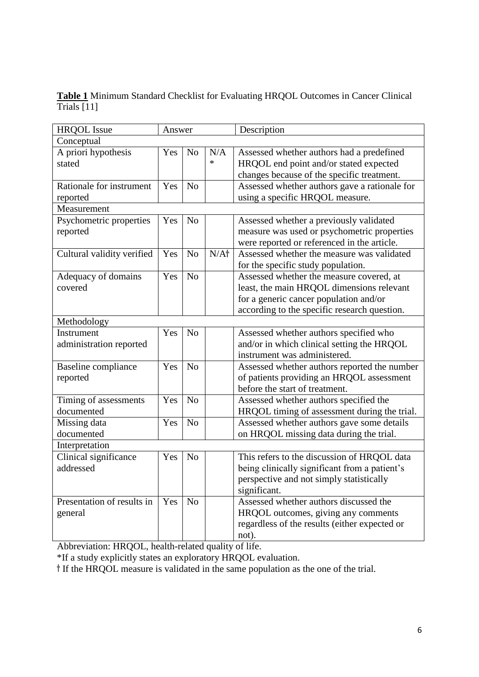**Table 1** Minimum Standard Checklist for Evaluating HRQOL Outcomes in Cancer Clinical Trials [11]

| <b>HRQOL</b> Issue         | Answer |                | Description |                                               |  |  |  |  |
|----------------------------|--------|----------------|-------------|-----------------------------------------------|--|--|--|--|
| Conceptual                 |        |                |             |                                               |  |  |  |  |
| A priori hypothesis        | Yes    | N <sub>o</sub> | N/A         | Assessed whether authors had a predefined     |  |  |  |  |
| stated                     |        |                | $\ast$      | HRQOL end point and/or stated expected        |  |  |  |  |
|                            |        |                |             | changes because of the specific treatment.    |  |  |  |  |
| Rationale for instrument   | Yes    | N <sub>o</sub> |             | Assessed whether authors gave a rationale for |  |  |  |  |
| reported                   |        |                |             | using a specific HRQOL measure.               |  |  |  |  |
| Measurement                |        |                |             |                                               |  |  |  |  |
| Psychometric properties    | Yes    | N <sub>o</sub> |             | Assessed whether a previously validated       |  |  |  |  |
| reported                   |        |                |             | measure was used or psychometric properties   |  |  |  |  |
|                            |        |                |             | were reported or referenced in the article.   |  |  |  |  |
| Cultural validity verified | Yes    | N <sub>o</sub> | $N/A+$      | Assessed whether the measure was validated    |  |  |  |  |
|                            |        |                |             | for the specific study population.            |  |  |  |  |
| Adequacy of domains        | Yes    | N <sub>o</sub> |             | Assessed whether the measure covered, at      |  |  |  |  |
| covered                    |        |                |             | least, the main HRQOL dimensions relevant     |  |  |  |  |
|                            |        |                |             | for a generic cancer population and/or        |  |  |  |  |
|                            |        |                |             | according to the specific research question.  |  |  |  |  |
| Methodology                |        |                |             |                                               |  |  |  |  |
| Instrument                 | Yes    | N <sub>o</sub> |             | Assessed whether authors specified who        |  |  |  |  |
| administration reported    |        |                |             | and/or in which clinical setting the HRQOL    |  |  |  |  |
|                            |        |                |             | instrument was administered.                  |  |  |  |  |
| <b>Baseline</b> compliance | Yes    | No             |             | Assessed whether authors reported the number  |  |  |  |  |
| reported                   |        |                |             | of patients providing an HRQOL assessment     |  |  |  |  |
|                            |        |                |             | before the start of treatment.                |  |  |  |  |
| Timing of assessments      | Yes    | N <sub>o</sub> |             | Assessed whether authors specified the        |  |  |  |  |
| documented                 |        |                |             | HRQOL timing of assessment during the trial.  |  |  |  |  |
| Missing data               | Yes    | N <sub>o</sub> |             | Assessed whether authors gave some details    |  |  |  |  |
| documented                 |        |                |             | on HRQOL missing data during the trial.       |  |  |  |  |
| Interpretation             |        |                |             |                                               |  |  |  |  |
| Clinical significance      | Yes    | No             |             | This refers to the discussion of HRQOL data   |  |  |  |  |
| addressed                  |        |                |             | being clinically significant from a patient's |  |  |  |  |
|                            |        |                |             | perspective and not simply statistically      |  |  |  |  |
|                            |        |                |             | significant.                                  |  |  |  |  |
| Presentation of results in | Yes    | N <sub>o</sub> |             | Assessed whether authors discussed the        |  |  |  |  |
| general                    |        |                |             | HRQOL outcomes, giving any comments           |  |  |  |  |
|                            |        |                |             | regardless of the results (either expected or |  |  |  |  |
|                            |        |                |             | not).                                         |  |  |  |  |

Abbreviation: HRQOL, health-related quality of life.

\*If a study explicitly states an exploratory HRQOL evaluation.

If the HRQOL measure is validated in the same population as the one of the trial.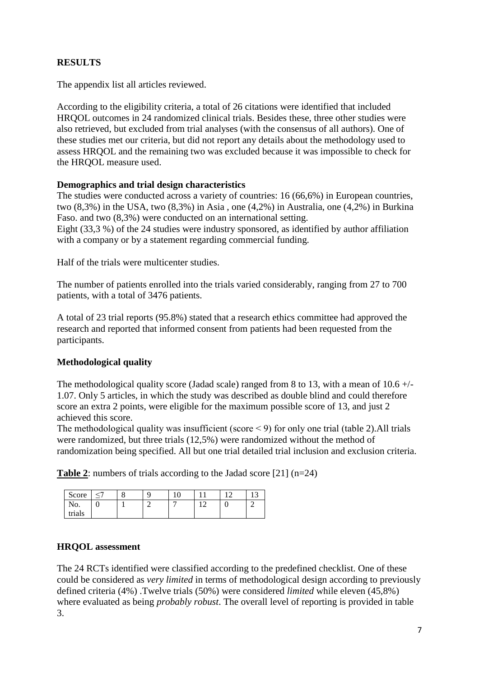# **RESULTS**

The appendix list all articles reviewed.

According to the eligibility criteria, a total of 26 citations were identified that included HRQOL outcomes in 24 randomized clinical trials. Besides these, three other studies were also retrieved, but excluded from trial analyses (with the consensus of all authors). One of these studies met our criteria, but did not report any details about the methodology used to assess HRQOL and the remaining two was excluded because it was impossible to check for the HRQOL measure used.

#### **Demographics and trial design characteristics**

The studies were conducted across a variety of countries: 16 (66,6%) in European countries, two (8,3%) in the USA, two (8,3%) in Asia , one (4,2%) in Australia, one (4,2%) in Burkina Faso. and two (8,3%) were conducted on an international setting.

Eight (33,3 %) of the 24 studies were industry sponsored, as identified by author affiliation with a company or by a statement regarding commercial funding.

Half of the trials were multicenter studies.

The number of patients enrolled into the trials varied considerably, ranging from 27 to 700 patients, with a total of 3476 patients.

A total of 23 trial reports (95.8%) stated that a research ethics committee had approved the research and reported that informed consent from patients had been requested from the participants.

## **Methodological quality**

The methodological quality score (Jadad scale) ranged from 8 to 13, with a mean of  $10.6 +/-$ 1.07. Only 5 articles, in which the study was described as double blind and could therefore score an extra 2 points, were eligible for the maximum possible score of 13, and just 2 achieved this score.

The methodological quality was insufficient (score  $\leq$  9) for only one trial (table 2). All trials were randomized, but three trials (12,5%) were randomized without the method of randomization being specified. All but one trial detailed trial inclusion and exclusion criteria.

**Table 2**: numbers of trials according to the Jadad score [21] (n=24)

| Score  | Ō |  |  |   | 1 <sub>2</sub><br> |
|--------|---|--|--|---|--------------------|
| $NQ$ . | ິ |  |  | ີ |                    |
| trials |   |  |  |   |                    |

#### **HRQOL assessment**

The 24 RCTs identified were classified according to the predefined checklist. One of these could be considered as *very limited* in terms of methodological design according to previously defined criteria (4%) .Twelve trials (50%) were considered *limited* while eleven (45,8%) where evaluated as being *probably robust*. The overall level of reporting is provided in table 3.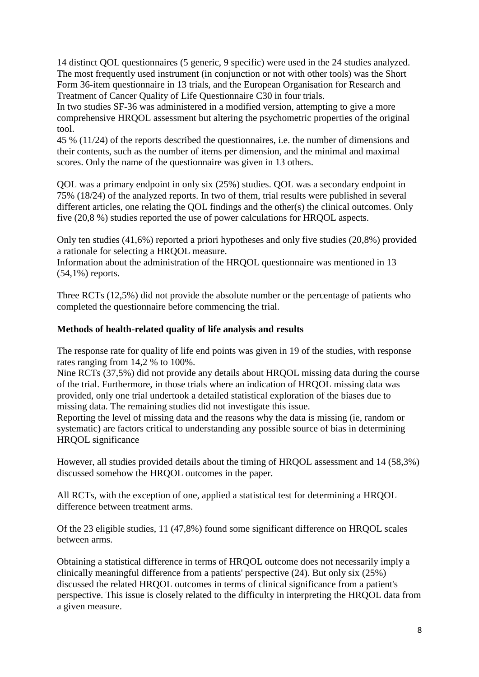14 distinct QOL questionnaires (5 generic, 9 specific) were used in the 24 studies analyzed. The most frequently used instrument (in conjunction or not with other tools) was the Short Form 36-item questionnaire in 13 trials, and the European Organisation for Research and Treatment of Cancer Quality of Life Questionnaire C30 in four trials.

In two studies SF-36 was administered in a modified version, attempting to give a more comprehensive HRQOL assessment but altering the psychometric properties of the original tool.

45 % (11/24) of the reports described the questionnaires, i.e. the number of dimensions and their contents, such as the number of items per dimension, and the minimal and maximal scores. Only the name of the questionnaire was given in 13 others.

QOL was a primary endpoint in only six (25%) studies. QOL was a secondary endpoint in 75% (18/24) of the analyzed reports. In two of them, trial results were published in several different articles, one relating the QOL findings and the other(s) the clinical outcomes. Only five (20,8 %) studies reported the use of power calculations for HRQOL aspects.

Only ten studies (41,6%) reported a priori hypotheses and only five studies (20,8%) provided a rationale for selecting a HRQOL measure.

Information about the administration of the HRQOL questionnaire was mentioned in 13 (54,1%) reports.

Three RCTs (12,5%) did not provide the absolute number or the percentage of patients who completed the questionnaire before commencing the trial.

# **Methods of health-related quality of life analysis and results**

The response rate for quality of life end points was given in 19 of the studies, with response rates ranging from 14,2 % to 100%.

Nine RCTs (37,5%) did not provide any details about HRQOL missing data during the course of the trial. Furthermore, in those trials where an indication of HRQOL missing data was provided, only one trial undertook a detailed statistical exploration of the biases due to missing data. The remaining studies did not investigate this issue.

Reporting the level of missing data and the reasons why the data is missing (ie, random or systematic) are factors critical to understanding any possible source of bias in determining HRQOL significance

However, all studies provided details about the timing of HRQOL assessment and 14 (58,3%) discussed somehow the HRQOL outcomes in the paper.

All RCTs, with the exception of one, applied a statistical test for determining a HRQOL difference between treatment arms.

Of the 23 eligible studies, 11 (47,8%) found some significant difference on HRQOL scales between arms.

Obtaining a statistical difference in terms of HRQOL outcome does not necessarily imply a clinically meaningful difference from a patients' perspective (24). But only six (25%) discussed the related HRQOL outcomes in terms of clinical significance from a patient's perspective. This issue is closely related to the difficulty in interpreting the HRQOL data from a given measure.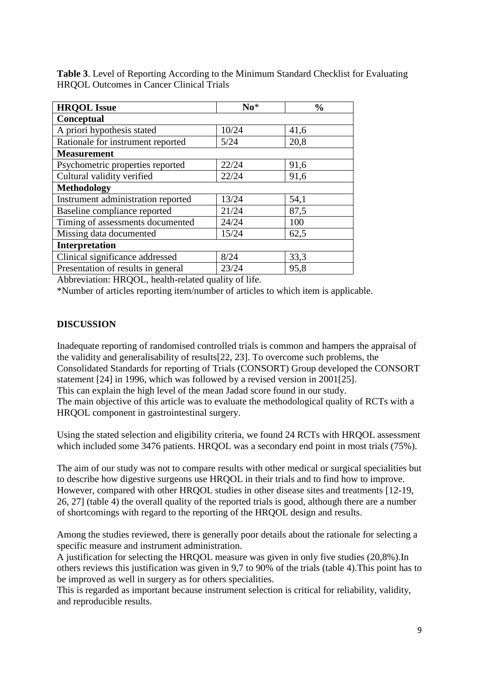**Table 3**. Level of Reporting According to the Minimum Standard Checklist for Evaluating HRQOL Outcomes in Cancer Clinical Trials

| <b>HRQOL</b> Issue                 | $No*$ | $\frac{0}{0}$ |  |  |
|------------------------------------|-------|---------------|--|--|
| Conceptual                         |       |               |  |  |
| A priori hypothesis stated         | 10/24 | 41,6          |  |  |
| Rationale for instrument reported  | 5/24  | 20,8          |  |  |
| <b>Measurement</b>                 |       |               |  |  |
| Psychometric properties reported   | 22/24 | 91,6          |  |  |
| Cultural validity verified         | 22/24 | 91,6          |  |  |
| <b>Methodology</b>                 |       |               |  |  |
| Instrument administration reported | 13/24 | 54,1          |  |  |
| Baseline compliance reported       | 21/24 | 87,5          |  |  |
| Timing of assessments documented   | 24/24 | 100           |  |  |
| Missing data documented            | 15/24 | 62,5          |  |  |
| Interpretation                     |       |               |  |  |
| Clinical significance addressed    | 8/24  | 33,3          |  |  |
| Presentation of results in general | 23/24 | 95,8          |  |  |

Abbreviation: HRQOL, health-related quality of life.

\*Number of articles reporting item/number of articles to which item is applicable.

## **DISCUSSION**

Inadequate reporting of randomised controlled trials is common and hampers the appraisal of the validity and generalisability of results[22, 23]. To overcome such problems, the Consolidated Standards for reporting of Trials (CONSORT) Group developed the CONSORT statement [24] in 1996, which was followed by a revised version in 2001[25]. This can explain the high level of the mean Jadad score found in our study. The main objective of this article was to evaluate the methodological quality of RCTs with a HRQOL component in gastrointestinal surgery.

Using the stated selection and eligibility criteria, we found 24 RCTs with HRQOL assessment which included some 3476 patients. HRQOL was a secondary end point in most trials (75%).

The aim of our study was not to compare results with other medical or surgical specialities but to describe how digestive surgeons use HRQOL in their trials and to find how to improve. However, compared with other HRQOL studies in other disease sites and treatments [12-19, 26, 27] (table 4) the overall quality of the reported trials is good, although there are a number of shortcomings with regard to the reporting of the HRQOL design and results.

Among the studies reviewed, there is generally poor details about the rationale for selecting a specific measure and instrument administration.

A justification for selecting the HRQOL measure was given in only five studies (20,8%).In others reviews this justification was given in 9,7 to 90% of the trials (table 4).This point has to be improved as well in surgery as for others specialities.

This is regarded as important because instrument selection is critical for reliability, validity, and reproducible results.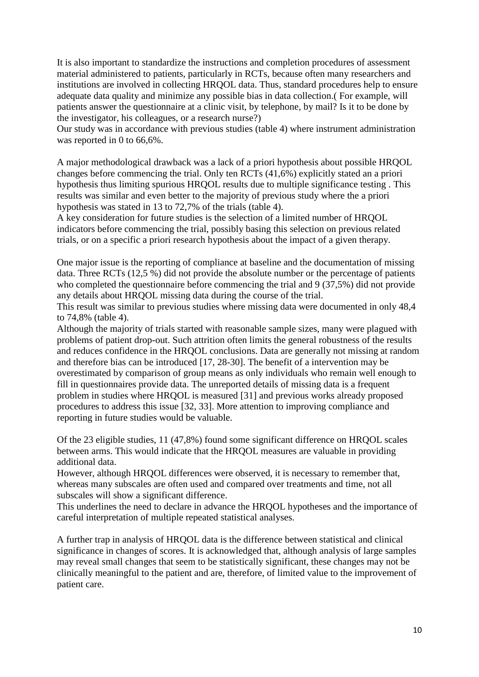It is also important to standardize the instructions and completion procedures of assessment material administered to patients, particularly in RCTs, because often many researchers and institutions are involved in collecting HRQOL data. Thus, standard procedures help to ensure adequate data quality and minimize any possible bias in data collection.( For example, will patients answer the questionnaire at a clinic visit, by telephone, by mail? Is it to be done by the investigator, his colleagues, or a research nurse?)

Our study was in accordance with previous studies (table 4) where instrument administration was reported in 0 to 66,6%.

A major methodological drawback was a lack of a priori hypothesis about possible HRQOL changes before commencing the trial. Only ten RCTs (41,6%) explicitly stated an a priori hypothesis thus limiting spurious HRQOL results due to multiple significance testing . This results was similar and even better to the majority of previous study where the a priori hypothesis was stated in 13 to 72,7% of the trials (table 4).

A key consideration for future studies is the selection of a limited number of HRQOL indicators before commencing the trial, possibly basing this selection on previous related trials, or on a specific a priori research hypothesis about the impact of a given therapy.

One major issue is the reporting of compliance at baseline and the documentation of missing data. Three RCTs (12,5 %) did not provide the absolute number or the percentage of patients who completed the questionnaire before commencing the trial and 9 (37,5%) did not provide any details about HRQOL missing data during the course of the trial.

This result was similar to previous studies where missing data were documented in only 48,4 to 74,8% (table 4).

Although the majority of trials started with reasonable sample sizes, many were plagued with problems of patient drop-out. Such attrition often limits the general robustness of the results and reduces confidence in the HRQOL conclusions. Data are generally not missing at random and therefore bias can be introduced [17, 28-30]. The benefit of a intervention may be overestimated by comparison of group means as only individuals who remain well enough to fill in questionnaires provide data. The unreported details of missing data is a frequent problem in studies where HRQOL is measured [31] and previous works already proposed procedures to address this issue [32, 33]. More attention to improving compliance and reporting in future studies would be valuable.

Of the 23 eligible studies, 11 (47,8%) found some significant difference on HRQOL scales between arms. This would indicate that the HRQOL measures are valuable in providing additional data.

However, although HRQOL differences were observed, it is necessary to remember that, whereas many subscales are often used and compared over treatments and time, not all subscales will show a significant difference.

This underlines the need to declare in advance the HRQOL hypotheses and the importance of careful interpretation of multiple repeated statistical analyses.

A further trap in analysis of HRQOL data is the difference between statistical and clinical significance in changes of scores. It is acknowledged that, although analysis of large samples may reveal small changes that seem to be statistically significant, these changes may not be clinically meaningful to the patient and are, therefore, of limited value to the improvement of patient care.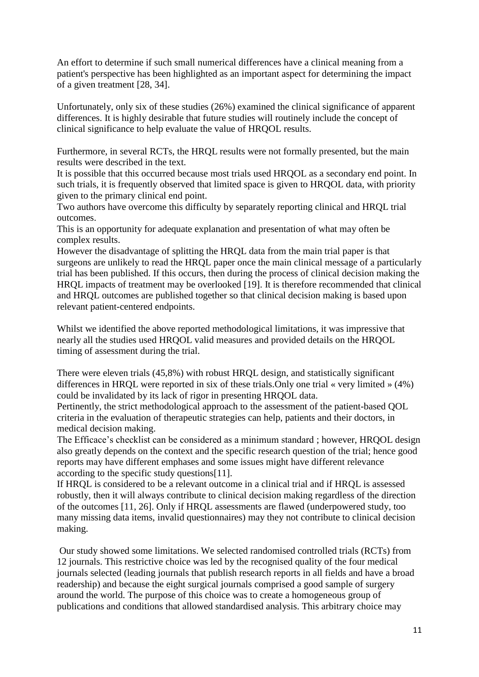An effort to determine if such small numerical differences have a clinical meaning from a patient's perspective has been highlighted as an important aspect for determining the impact of a given treatment [28, 34].

Unfortunately, only six of these studies (26%) examined the clinical significance of apparent differences. It is highly desirable that future studies will routinely include the concept of clinical significance to help evaluate the value of HRQOL results.

Furthermore, in several RCTs, the HRQL results were not formally presented, but the main results were described in the text.

It is possible that this occurred because most trials used HRQOL as a secondary end point. In such trials, it is frequently observed that limited space is given to HRQOL data, with priority given to the primary clinical end point.

Two authors have overcome this difficulty by separately reporting clinical and HRQL trial outcomes.

This is an opportunity for adequate explanation and presentation of what may often be complex results.

However the disadvantage of splitting the HRQL data from the main trial paper is that surgeons are unlikely to read the HRQL paper once the main clinical message of a particularly trial has been published. If this occurs, then during the process of clinical decision making the HRQL impacts of treatment may be overlooked [19]. It is therefore recommended that clinical and HRQL outcomes are published together so that clinical decision making is based upon relevant patient-centered endpoints.

Whilst we identified the above reported methodological limitations, it was impressive that nearly all the studies used HRQOL valid measures and provided details on the HRQOL timing of assessment during the trial.

There were eleven trials (45,8%) with robust HRQL design, and statistically significant differences in HRQL were reported in six of these trials.Only one trial « very limited » (4%) could be invalidated by its lack of rigor in presenting HRQOL data.

Pertinently, the strict methodological approach to the assessment of the patient-based QOL criteria in the evaluation of therapeutic strategies can help, patients and their doctors, in medical decision making.

The Efficace's checklist can be considered as a minimum standard ; however, HRQOL design also greatly depends on the context and the specific research question of the trial; hence good reports may have different emphases and some issues might have different relevance according to the specific study questions[11].

If HRQL is considered to be a relevant outcome in a clinical trial and if HRQL is assessed robustly, then it will always contribute to clinical decision making regardless of the direction of the outcomes [11, 26]. Only if HRQL assessments are flawed (underpowered study, too many missing data items, invalid questionnaires) may they not contribute to clinical decision making.

Our study showed some limitations. We selected randomised controlled trials (RCTs) from 12 journals. This restrictive choice was led by the recognised quality of the four medical journals selected (leading journals that publish research reports in all fields and have a broad readership) and because the eight surgical journals comprised a good sample of surgery around the world. The purpose of this choice was to create a homogeneous group of publications and conditions that allowed standardised analysis. This arbitrary choice may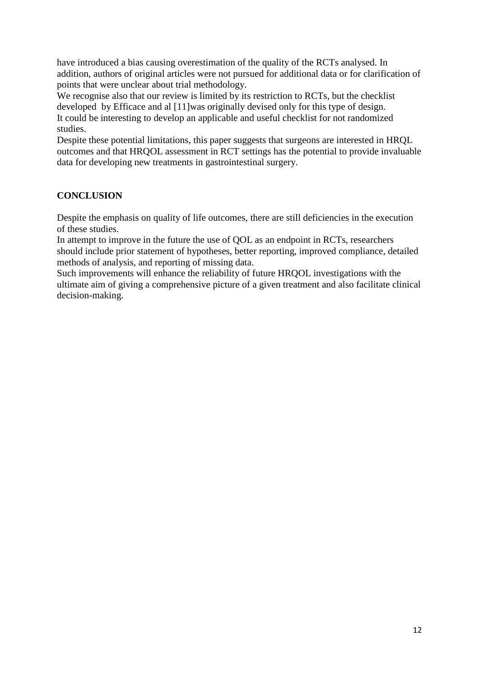have introduced a bias causing overestimation of the quality of the RCTs analysed. In addition, authors of original articles were not pursued for additional data or for clarification of points that were unclear about trial methodology.

We recognise also that our review is limited by its restriction to RCTs, but the checklist developed by Efficace and al [11]was originally devised only for this type of design. It could be interesting to develop an applicable and useful checklist for not randomized studies.

Despite these potential limitations, this paper suggests that surgeons are interested in HRQL outcomes and that HRQOL assessment in RCT settings has the potential to provide invaluable data for developing new treatments in gastrointestinal surgery.

# **CONCLUSION**

Despite the emphasis on quality of life outcomes, there are still deficiencies in the execution of these studies.

In attempt to improve in the future the use of QOL as an endpoint in RCTs, researchers should include prior statement of hypotheses, better reporting, improved compliance, detailed methods of analysis, and reporting of missing data.

Such improvements will enhance the reliability of future HRQOL investigations with the ultimate aim of giving a comprehensive picture of a given treatment and also facilitate clinical decision-making.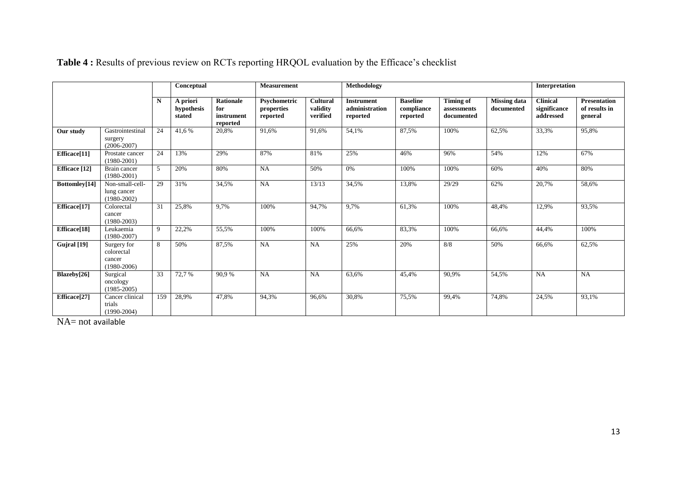|                      |                                                        |     | Conceptual                       |                                            | <b>Measurement</b>                     |                                  | <b>Methodology</b>                              |                                           |                                               |                                   | Interpretation                               |                                                 |
|----------------------|--------------------------------------------------------|-----|----------------------------------|--------------------------------------------|----------------------------------------|----------------------------------|-------------------------------------------------|-------------------------------------------|-----------------------------------------------|-----------------------------------|----------------------------------------------|-------------------------------------------------|
|                      |                                                        | N   | A priori<br>hypothesis<br>stated | Rationale<br>for<br>instrument<br>reported | Psychometric<br>properties<br>reported | Cultural<br>validity<br>verified | <b>Instrument</b><br>administration<br>reported | <b>Baseline</b><br>compliance<br>reported | <b>Timing of</b><br>assessments<br>documented | <b>Missing data</b><br>documented | <b>Clinical</b><br>significance<br>addressed | <b>Presentation</b><br>of results in<br>general |
| Our study            | Gastrointestinal<br>surgery<br>$(2006 - 2007)$         | 24  | 41,6%                            | 20,8%                                      | 91,6%                                  | 91,6%                            | 54,1%                                           | 87,5%                                     | 100%                                          | 62,5%                             | 33,3%                                        | 95,8%                                           |
| Efficace[11]         | Prostate cancer<br>$(1980 - 2001)$                     | 24  | 13%                              | 29%                                        | 87%                                    | 81%                              | 25%                                             | 46%                                       | 96%                                           | 54%                               | 12%                                          | 67%                                             |
| <b>Efficace</b> [12] | Brain cancer<br>$(1980 - 2001)$                        | 5   | 20%                              | 80%                                        | <b>NA</b>                              | 50%                              | 0%                                              | 100%                                      | 100%                                          | 60%                               | 40%                                          | 80%                                             |
| Bottomley[14]        | Non-small-cell-<br>lung cancer<br>$(1980 - 2002)$      | 29  | 31%                              | 34,5%                                      | <b>NA</b>                              | 13/13                            | 34,5%                                           | 13,8%                                     | 29/29                                         | 62%                               | 20,7%                                        | 58,6%                                           |
| Efficace[17]         | Colorectal<br>cancer<br>$(1980 - 2003)$                | 31  | 25,8%                            | 9,7%                                       | 100%                                   | 94,7%                            | 9,7%                                            | 61,3%                                     | 100%                                          | 48,4%                             | 12,9%                                        | 93,5%                                           |
| Efficace[18]         | Leukaemia<br>$(1980 - 2007)$                           | 9   | 22,2%                            | 55,5%                                      | 100%                                   | 100%                             | 66,6%                                           | 83,3%                                     | 100%                                          | 66,6%                             | 44,4%                                        | 100%                                            |
| Gujral [19]          | Surgery for<br>colorectal<br>cancer<br>$(1980 - 2006)$ | 8   | 50%                              | 87,5%                                      | <b>NA</b>                              | NA                               | 25%                                             | 20%                                       | 8/8                                           | 50%                               | 66,6%                                        | 62,5%                                           |
| Blazeby[26]          | Surgical<br>oncology<br>$(1985 - 2005)$                | 33  | 72,7 %                           | 90,9%                                      | NA                                     | NA                               | 63,6%                                           | 45,4%                                     | 90,9%                                         | 54,5%                             | NA                                           | <b>NA</b>                                       |
| Efficace[27]         | Cancer clinical<br>trials<br>$(1990-2004)$             | 159 | 28,9%                            | 47,8%                                      | 94,3%                                  | 96,6%                            | 30,8%                                           | 75.5%                                     | 99,4%                                         | 74,8%                             | 24,5%                                        | 93,1%                                           |

# **Table 4 :** Results of previous review on RCTs reporting HRQOL evaluation by the Efficace's checklist

NA= not available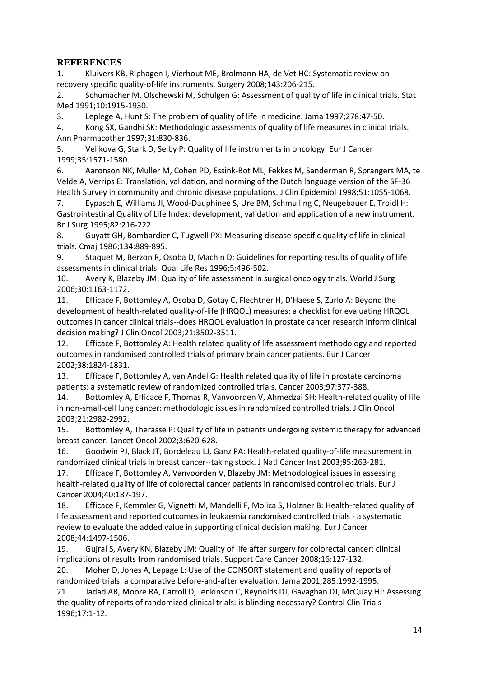# **REFERENCES**

1. Kluivers KB, Riphagen I, Vierhout ME, Brolmann HA, de Vet HC: Systematic review on recovery specific quality-of-life instruments. Surgery 2008;143:206-215.

2. Schumacher M, Olschewski M, Schulgen G: Assessment of quality of life in clinical trials. Stat Med 1991;10:1915-1930.

3. Leplege A, Hunt S: The problem of quality of life in medicine. Jama 1997;278:47-50.

4. Kong SX, Gandhi SK: Methodologic assessments of quality of life measures in clinical trials. Ann Pharmacother 1997;31:830-836.

5. Velikova G, Stark D, Selby P: Quality of life instruments in oncology. Eur J Cancer 1999;35:1571-1580.

6. Aaronson NK, Muller M, Cohen PD, Essink-Bot ML, Fekkes M, Sanderman R, Sprangers MA, te Velde A, Verrips E: Translation, validation, and norming of the Dutch language version of the SF-36 Health Survey in community and chronic disease populations. J Clin Epidemiol 1998;51:1055-1068.

7. Eypasch E, Williams JI, Wood-Dauphinee S, Ure BM, Schmulling C, Neugebauer E, Troidl H: Gastrointestinal Quality of Life Index: development, validation and application of a new instrument. Br J Surg 1995;82:216-222.

8. Guyatt GH, Bombardier C, Tugwell PX: Measuring disease-specific quality of life in clinical trials. Cmaj 1986;134:889-895.

9. Staquet M, Berzon R, Osoba D, Machin D: Guidelines for reporting results of quality of life assessments in clinical trials. Qual Life Res 1996;5:496-502.

10. Avery K, Blazeby JM: Quality of life assessment in surgical oncology trials. World J Surg 2006;30:1163-1172.

11. Efficace F, Bottomley A, Osoba D, Gotay C, Flechtner H, D'Haese S, Zurlo A: Beyond the development of health-related quality-of-life (HRQOL) measures: a checklist for evaluating HRQOL outcomes in cancer clinical trials--does HRQOL evaluation in prostate cancer research inform clinical decision making? J Clin Oncol 2003;21:3502-3511.

12. Efficace F, Bottomley A: Health related quality of life assessment methodology and reported outcomes in randomised controlled trials of primary brain cancer patients. Eur J Cancer 2002;38:1824-1831.

13. Efficace F, Bottomley A, van Andel G: Health related quality of life in prostate carcinoma patients: a systematic review of randomized controlled trials. Cancer 2003;97:377-388.

14. Bottomley A, Efficace F, Thomas R, Vanvoorden V, Ahmedzai SH: Health-related quality of life in non-small-cell lung cancer: methodologic issues in randomized controlled trials. J Clin Oncol 2003;21:2982-2992.

15. Bottomley A, Therasse P: Quality of life in patients undergoing systemic therapy for advanced breast cancer. Lancet Oncol 2002;3:620-628.

16. Goodwin PJ, Black JT, Bordeleau LJ, Ganz PA: Health-related quality-of-life measurement in randomized clinical trials in breast cancer--taking stock. J Natl Cancer Inst 2003;95:263-281.

17. Efficace F, Bottomley A, Vanvoorden V, Blazeby JM: Methodological issues in assessing health-related quality of life of colorectal cancer patients in randomised controlled trials. Eur J Cancer 2004;40:187-197.

18. Efficace F, Kemmler G, Vignetti M, Mandelli F, Molica S, Holzner B: Health-related quality of life assessment and reported outcomes in leukaemia randomised controlled trials - a systematic review to evaluate the added value in supporting clinical decision making. Eur J Cancer 2008;44:1497-1506.

19. Gujral S, Avery KN, Blazeby JM: Quality of life after surgery for colorectal cancer: clinical implications of results from randomised trials. Support Care Cancer 2008;16:127-132.

20. Moher D, Jones A, Lepage L: Use of the CONSORT statement and quality of reports of randomized trials: a comparative before-and-after evaluation. Jama 2001;285:1992-1995.

21. Jadad AR, Moore RA, Carroll D, Jenkinson C, Reynolds DJ, Gavaghan DJ, McQuay HJ: Assessing the quality of reports of randomized clinical trials: is blinding necessary? Control Clin Trials 1996;17:1-12.